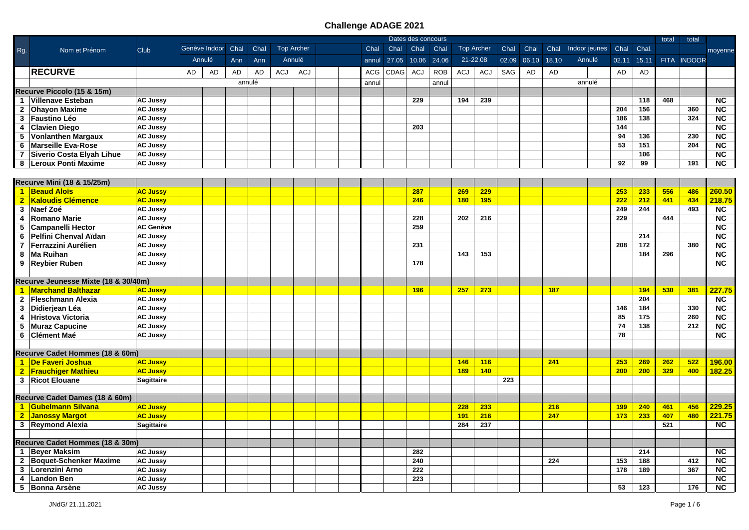|                |                                      |                   |    |                    |     |        |     |                   |  |       |       | Dates des concours |            |     |                   |       |       |            |                    |           |       | total | total       |                        |
|----------------|--------------------------------------|-------------------|----|--------------------|-----|--------|-----|-------------------|--|-------|-------|--------------------|------------|-----|-------------------|-------|-------|------------|--------------------|-----------|-------|-------|-------------|------------------------|
| Rg.            | Nom et Prénom                        | Club              |    | Genève Indoor Chal |     | Chal   |     | <b>Top Archer</b> |  | Chal  | Chal  | Chal               | Chal       |     | <b>Top Archer</b> | Chal  | Chal  | Chal       | Indoor jeunes Chal |           | Chal. |       |             | moyenne                |
|                |                                      |                   |    | Annulé             | Ann | Ann    |     | Annulé            |  | annul | 27.05 | 10.06 24.06        |            |     | 21-22.08          | 02.09 | 06.10 | 18.10      | Annulé             | 02.11     | 15.11 |       | FITA INDOOR |                        |
|                | <b>RECURVE</b>                       |                   | AD | AD                 | AD  | AD     | ACJ | ACJ               |  | ACG   | CDAG  | ACJ                | <b>ROB</b> | ACJ | <b>ACJ</b>        | SAG   | AD    | AD         |                    | <b>AD</b> | AD    |       |             |                        |
|                |                                      |                   |    |                    |     | annulé |     |                   |  | annul |       |                    | annul      |     |                   |       |       |            | annulé             |           |       |       |             |                        |
|                | Recurve Piccolo (15 & 15m)           |                   |    |                    |     |        |     |                   |  |       |       |                    |            |     |                   |       |       |            |                    |           |       |       |             |                        |
|                | 1 Villenave Esteban                  | <b>AC Jussy</b>   |    |                    |     |        |     |                   |  |       |       | 229                |            | 194 | 239               |       |       |            |                    |           | 118   | 468   |             | <b>NC</b>              |
|                | 2 Ohayon Maxime                      | <b>AC Jussy</b>   |    |                    |     |        |     |                   |  |       |       |                    |            |     |                   |       |       |            |                    | 204       | 156   |       | 360         | $\overline{\text{NC}}$ |
|                | 3 Faustino Léo                       | <b>AC Jussy</b>   |    |                    |     |        |     |                   |  |       |       |                    |            |     |                   |       |       |            |                    | 186       | 138   |       | 324         | $\overline{\text{NC}}$ |
|                | 4 Clavien Diego                      | <b>AC Jussy</b>   |    |                    |     |        |     |                   |  |       |       | 203                |            |     |                   |       |       |            |                    | 144       |       |       |             | $\overline{\text{NC}}$ |
|                | 5 Vonlanthen Margaux                 | <b>AC Jussy</b>   |    |                    |     |        |     |                   |  |       |       |                    |            |     |                   |       |       |            |                    | 94        | 136   |       | 230         | NC                     |
|                | 6 Marseille Eva-Rose                 | <b>AC Jussy</b>   |    |                    |     |        |     |                   |  |       |       |                    |            |     |                   |       |       |            |                    | 53        | 151   |       | 204         | NC                     |
| $\overline{7}$ | Siverio Costa Elyah Lihue            | <b>AC Jussy</b>   |    |                    |     |        |     |                   |  |       |       |                    |            |     |                   |       |       |            |                    |           | 106   |       |             | $\overline{NC}$        |
|                | 8   Leroux Ponti Maxime              | <b>AC Jussy</b>   |    |                    |     |        |     |                   |  |       |       |                    |            |     |                   |       |       |            |                    | 92        | 99    |       | 191         | <b>NC</b>              |
|                |                                      |                   |    |                    |     |        |     |                   |  |       |       |                    |            |     |                   |       |       |            |                    |           |       |       |             |                        |
|                | Recurve Mini (18 & 15/25m)           |                   |    |                    |     |        |     |                   |  |       |       |                    |            |     |                   |       |       |            |                    |           |       |       |             |                        |
|                | 1 Beaud Aloïs                        | <b>AC Jussy</b>   |    |                    |     |        |     |                   |  |       |       | 287                |            | 269 | 229               |       |       |            |                    | 253       | 233   | 556   | 486         | 260.50                 |
|                | 2 Kaloudis Clémence                  | <b>AC Jussy</b>   |    |                    |     |        |     |                   |  |       |       | 246                |            | 180 | 195               |       |       |            |                    | 222       | 212   | 441   | 434         | 218.75                 |
|                | 3 Naef Zoé                           | <b>AC Jussy</b>   |    |                    |     |        |     |                   |  |       |       |                    |            |     |                   |       |       |            |                    | 249       | 244   |       | 493         | $\overline{NC}$        |
| 4              | Romano Marie                         | <b>AC Jussy</b>   |    |                    |     |        |     |                   |  |       |       | 228                |            | 202 | 216               |       |       |            |                    | 229       |       | 444   |             | <b>NC</b>              |
|                | 5 Campanelli Hector                  | <b>AC Genève</b>  |    |                    |     |        |     |                   |  |       |       | 259                |            |     |                   |       |       |            |                    |           |       |       |             | <b>NC</b>              |
|                | 6 Pelfini Chenval Aïdan              | <b>AC Jussy</b>   |    |                    |     |        |     |                   |  |       |       |                    |            |     |                   |       |       |            |                    |           | 214   |       |             | $\overline{\text{NC}}$ |
|                | 7 Ferrazzini Aurélien                | <b>AC Jussy</b>   |    |                    |     |        |     |                   |  |       |       | 231                |            |     |                   |       |       |            |                    | 208       | 172   |       | 380         | $\overline{\text{NC}}$ |
|                | 8 Ma Ruihan                          | <b>AC Jussy</b>   |    |                    |     |        |     |                   |  |       |       |                    |            | 143 | 153               |       |       |            |                    |           | 184   | 296   |             | $\overline{\text{NC}}$ |
|                | 9 Reybier Ruben                      | <b>AC Jussy</b>   |    |                    |     |        |     |                   |  |       |       | 178                |            |     |                   |       |       |            |                    |           |       |       |             | <b>NC</b>              |
|                |                                      |                   |    |                    |     |        |     |                   |  |       |       |                    |            |     |                   |       |       |            |                    |           |       |       |             |                        |
|                | Recurve Jeunesse Mixte (18 & 30/40m) |                   |    |                    |     |        |     |                   |  |       |       |                    |            |     |                   |       |       |            |                    |           |       |       |             |                        |
|                | 1 Marchand Balthazar                 | <b>AC Jussy</b>   |    |                    |     |        |     |                   |  |       |       | 196                |            | 257 | 273               |       |       | <b>187</b> |                    |           | 194   | 530   | 381         | 227.75                 |
|                | 2 Fleschmann Alexia                  | <b>AC Jussy</b>   |    |                    |     |        |     |                   |  |       |       |                    |            |     |                   |       |       |            |                    |           | 204   |       |             | <b>NC</b>              |
|                | 3 Didierjean Léa                     | <b>AC Jussy</b>   |    |                    |     |        |     |                   |  |       |       |                    |            |     |                   |       |       |            |                    | 146       | 184   |       | 330         | $\overline{NC}$        |
|                | 4 Hristova Victoria                  | <b>AC Jussy</b>   |    |                    |     |        |     |                   |  |       |       |                    |            |     |                   |       |       |            |                    | 85        | 175   |       | 260         | NC                     |
|                | 5 Muraz Capucine                     | <b>AC Jussy</b>   |    |                    |     |        |     |                   |  |       |       |                    |            |     |                   |       |       |            |                    | 74        | 138   |       | 212         | $\overline{\text{NC}}$ |
|                | 6 Clément Maé                        | <b>AC Jussy</b>   |    |                    |     |        |     |                   |  |       |       |                    |            |     |                   |       |       |            |                    | 78        |       |       |             | <b>NC</b>              |
|                |                                      |                   |    |                    |     |        |     |                   |  |       |       |                    |            |     |                   |       |       |            |                    |           |       |       |             |                        |
|                | Recurve Cadet Hommes (18 & 60m)      |                   |    |                    |     |        |     |                   |  |       |       |                    |            |     |                   |       |       |            |                    |           |       |       |             |                        |
|                | 1 De Faveri Joshua                   | <b>AC Jussy</b>   |    |                    |     |        |     |                   |  |       |       |                    |            | 146 | 116               |       |       | 241        |                    | 253       | 269   | 262   | 522         | 196.00                 |
|                | 2 Frauchiger Mathieu                 | <b>AC Jussy</b>   |    |                    |     |        |     |                   |  |       |       |                    |            | 189 | 140               |       |       |            |                    | 200       | 200   | 329   | 400         | 182.25                 |
|                | 3 Ricot Elouane                      | <b>Sagittaire</b> |    |                    |     |        |     |                   |  |       |       |                    |            |     |                   | 223   |       |            |                    |           |       |       |             |                        |
|                |                                      |                   |    |                    |     |        |     |                   |  |       |       |                    |            |     |                   |       |       |            |                    |           |       |       |             |                        |
|                | Recurve Cadet Dames (18 & 60m)       |                   |    |                    |     |        |     |                   |  |       |       |                    |            |     |                   |       |       |            |                    |           |       |       |             |                        |
|                | 1 Gubelmann Silvana                  | <b>AC Jussy</b>   |    |                    |     |        |     |                   |  |       |       |                    |            | 228 | 233               |       |       | 216        |                    | 199       | 240   | 461   | 456         | 229.25                 |
|                | 2 Janossy Margot                     | <b>AC Jussy</b>   |    |                    |     |        |     |                   |  |       |       |                    |            | 191 | 216               |       |       | 247        |                    | 173       | 233   | 407   | 480         | 221.75                 |
|                | 3 Reymond Alexia                     | <b>Sagittaire</b> |    |                    |     |        |     |                   |  |       |       |                    |            | 284 | 237               |       |       |            |                    |           |       | 521   |             | <b>NC</b>              |
|                |                                      |                   |    |                    |     |        |     |                   |  |       |       |                    |            |     |                   |       |       |            |                    |           |       |       |             |                        |
|                | Recurve Cadet Hommes (18 & 30m)      |                   |    |                    |     |        |     |                   |  |       |       |                    |            |     |                   |       |       |            |                    |           |       |       |             |                        |
|                | 1 Beyer Maksim                       | <b>AC Jussy</b>   |    |                    |     |        |     |                   |  |       |       | 282                |            |     |                   |       |       |            |                    |           | 214   |       |             | $\overline{NC}$        |
|                | 2 Boquet-Schenker Maxime             | <b>AC Jussy</b>   |    |                    |     |        |     |                   |  |       |       | 240                |            |     |                   |       |       | 224        |                    | 153       | 188   |       | 412         | NC                     |
|                | 3   Lorenzini Arno                   | <b>AC Jussy</b>   |    |                    |     |        |     |                   |  |       |       | 222                |            |     |                   |       |       |            |                    | 178       | 189   |       | 367         | <b>NC</b>              |
|                | 4 Landon Ben                         | <b>AC Jussy</b>   |    |                    |     |        |     |                   |  |       |       | 223                |            |     |                   |       |       |            |                    |           |       |       |             | <b>NC</b>              |
|                | 5 Bonna Arsène                       | <b>AC Jussy</b>   |    |                    |     |        |     |                   |  |       |       |                    |            |     |                   |       |       |            |                    | 53        | 123   |       | 176         | <b>NC</b>              |
|                |                                      |                   |    |                    |     |        |     |                   |  |       |       |                    |            |     |                   |       |       |            |                    |           |       |       |             |                        |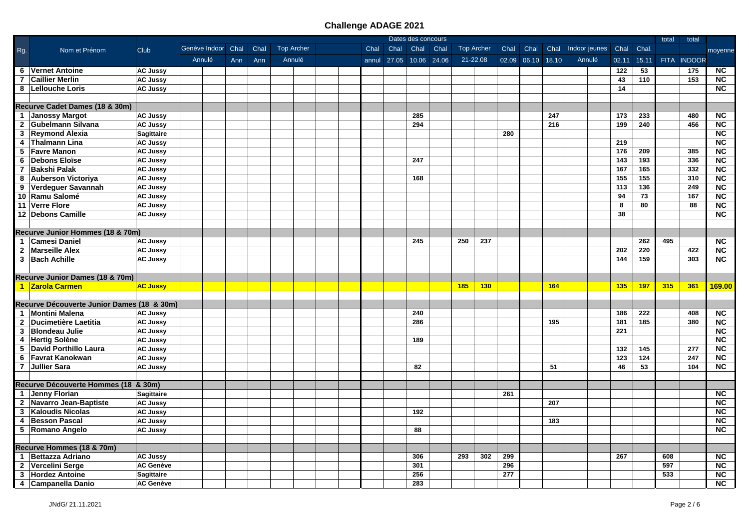|                         |                                            |                   | Dates des concours<br>Genève Indoor Chal<br><b>Top Archer</b><br><b>Top Archer</b><br>Chal Indoor jeunes Chal<br>Chal |        |     |      |  |        |  |  |       |                   |      |      |     | total    | total |                   |     |        |       |       |     |             |                              |
|-------------------------|--------------------------------------------|-------------------|-----------------------------------------------------------------------------------------------------------------------|--------|-----|------|--|--------|--|--|-------|-------------------|------|------|-----|----------|-------|-------------------|-----|--------|-------|-------|-----|-------------|------------------------------|
| Rg.                     | Nom et Prénom                              | Club              |                                                                                                                       |        |     | Chal |  |        |  |  |       | Chal              | Chal | Chal |     |          | Chal  | Chal              |     |        |       | Chal  |     |             | moyenne                      |
|                         |                                            |                   |                                                                                                                       | Annulé | Ann | Ann  |  | Annulé |  |  | annul | 27.05 10.06 24.06 |      |      |     | 21-22.08 |       | 02.09 06.10 18.10 |     | Annulé | 02.11 | 15.11 |     | FITA INDOOR |                              |
|                         | 6 Vernet Antoine                           | <b>AC Jussy</b>   |                                                                                                                       |        |     |      |  |        |  |  |       |                   |      |      |     |          |       |                   |     |        | 122   | 53    |     | 175         | <b>NC</b>                    |
|                         | 7 Caillier Merlin                          | <b>AC Jussy</b>   |                                                                                                                       |        |     |      |  |        |  |  |       |                   |      |      |     |          |       |                   |     |        | 43    | 110   |     | 153         | $\overline{\text{NC}}$       |
|                         | 8   Lellouche Loris                        | <b>AC Jussy</b>   |                                                                                                                       |        |     |      |  |        |  |  |       |                   |      |      |     |          |       |                   |     |        | 14    |       |     |             | <b>NC</b>                    |
|                         |                                            |                   |                                                                                                                       |        |     |      |  |        |  |  |       |                   |      |      |     |          |       |                   |     |        |       |       |     |             |                              |
|                         | Recurve Cadet Dames (18 & 30m)             |                   |                                                                                                                       |        |     |      |  |        |  |  |       |                   |      |      |     |          |       |                   |     |        |       |       |     |             |                              |
|                         | 1 Janossy Margot                           | <b>AC Jussy</b>   |                                                                                                                       |        |     |      |  |        |  |  |       |                   | 285  |      |     |          |       |                   | 247 |        | 173   | 233   |     | 480         | <b>NC</b>                    |
|                         | 2 Gubelmann Silvana                        | <b>AC Jussy</b>   |                                                                                                                       |        |     |      |  |        |  |  |       |                   | 294  |      |     |          |       |                   | 216 |        | 199   | 240   |     | 456         | $\overline{\text{NC}}$       |
|                         | 3 Reymond Alexia                           | <b>Sagittaire</b> |                                                                                                                       |        |     |      |  |        |  |  |       |                   |      |      |     |          | 280   |                   |     |        |       |       |     |             | $\overline{\text{NC}}$       |
| $\overline{\mathbf{4}}$ | Thalmann Lina                              | <b>AC Jussy</b>   |                                                                                                                       |        |     |      |  |        |  |  |       |                   |      |      |     |          |       |                   |     |        | 219   |       |     |             | $\overline{\text{NC}}$       |
|                         | 5 Favre Manon                              | <b>AC Jussy</b>   |                                                                                                                       |        |     |      |  |        |  |  |       |                   |      |      |     |          |       |                   |     |        | 176   | 209   |     | 385         | $\overline{\text{NC}}$       |
| 6                       | <b>Debons Eloïse</b>                       | <b>AC Jussy</b>   |                                                                                                                       |        |     |      |  |        |  |  |       |                   | 247  |      |     |          |       |                   |     |        | 143   | 193   |     | 336         | $\overline{NC}$              |
| $\overline{7}$          | <b>Bakshi Palak</b>                        | <b>AC Jussy</b>   |                                                                                                                       |        |     |      |  |        |  |  |       |                   |      |      |     |          |       |                   |     |        | 167   | 165   |     | 332         | NC                           |
| 8                       | <b>Auberson Victoriya</b>                  | <b>AC Jussy</b>   |                                                                                                                       |        |     |      |  |        |  |  |       |                   | 168  |      |     |          |       |                   |     |        | 155   | 155   |     | 310         | NC                           |
| 9                       | Verdeguer Savannah                         | <b>AC Jussy</b>   |                                                                                                                       |        |     |      |  |        |  |  |       |                   |      |      |     |          |       |                   |     |        | 113   | 136   |     | 249         | NC                           |
|                         | 10 Ramu Salomé                             | <b>AC Jussy</b>   |                                                                                                                       |        |     |      |  |        |  |  |       |                   |      |      |     |          |       |                   |     |        | 94    | 73    |     | 167         | $\overline{\text{NC}}$       |
|                         | 11 Verre Flore                             | <b>AC Jussy</b>   |                                                                                                                       |        |     |      |  |        |  |  |       |                   |      |      |     |          |       |                   |     |        | 8     | 80    |     | 88          | <b>NC</b>                    |
|                         | 12 Debons Camille                          | <b>AC Jussy</b>   |                                                                                                                       |        |     |      |  |        |  |  |       |                   |      |      |     |          |       |                   |     |        | 38    |       |     |             | <b>NC</b>                    |
|                         |                                            |                   |                                                                                                                       |        |     |      |  |        |  |  |       |                   |      |      |     |          |       |                   |     |        |       |       |     |             |                              |
|                         | Recurve Junior Hommes (18 & 70m)           |                   |                                                                                                                       |        |     |      |  |        |  |  |       |                   |      |      |     |          |       |                   |     |        |       |       |     |             |                              |
|                         | 1 Camesi Daniel                            | <b>AC Jussy</b>   |                                                                                                                       |        |     |      |  |        |  |  |       |                   | 245  |      | 250 | 237      |       |                   |     |        |       | 262   | 495 |             | <b>NC</b>                    |
|                         | 2 Marseille Alex                           | <b>AC Jussy</b>   |                                                                                                                       |        |     |      |  |        |  |  |       |                   |      |      |     |          |       |                   |     |        | 202   | 220   |     | 422         | <b>NC</b>                    |
|                         | 3 Bach Achille                             | <b>AC Jussy</b>   |                                                                                                                       |        |     |      |  |        |  |  |       |                   |      |      |     |          |       |                   |     |        | 144   | 159   |     | 303         | <b>NC</b>                    |
|                         |                                            |                   |                                                                                                                       |        |     |      |  |        |  |  |       |                   |      |      |     |          |       |                   |     |        |       |       |     |             |                              |
|                         | Recurve Junior Dames (18 & 70m)            |                   |                                                                                                                       |        |     |      |  |        |  |  |       |                   |      |      |     |          |       |                   |     |        |       |       |     |             |                              |
|                         | 1 Zarola Carmen                            | <b>AC Jussy</b>   |                                                                                                                       |        |     |      |  |        |  |  |       |                   |      |      | 185 | 130      |       |                   | 164 |        | 135   | 197   | 315 | 361         | 169.00                       |
|                         |                                            |                   |                                                                                                                       |        |     |      |  |        |  |  |       |                   |      |      |     |          |       |                   |     |        |       |       |     |             |                              |
|                         | Recurve Découverte Junior Dames (18 & 30m) |                   |                                                                                                                       |        |     |      |  |        |  |  |       |                   |      |      |     |          |       |                   |     |        |       |       |     |             |                              |
|                         | 1 Montini Malena                           | <b>AC Jussy</b>   |                                                                                                                       |        |     |      |  |        |  |  |       |                   | 240  |      |     |          |       |                   |     |        | 186   | 222   |     | 408         | <b>NC</b>                    |
|                         | 2 Ducimetière Laetitia                     | <b>AC Jussy</b>   |                                                                                                                       |        |     |      |  |        |  |  |       |                   | 286  |      |     |          |       |                   | 195 |        | 181   | 185   |     | 380         | $\overline{\text{NC}}$       |
| 3                       | <b>Blondeau Julie</b>                      | <b>AC Jussy</b>   |                                                                                                                       |        |     |      |  |        |  |  |       |                   |      |      |     |          |       |                   |     |        | 221   |       |     |             | $\overline{\text{NC}}$       |
| 4                       | <b>Hertig Solène</b>                       | <b>AC Jussy</b>   |                                                                                                                       |        |     |      |  |        |  |  |       |                   | 189  |      |     |          |       |                   |     |        |       |       |     |             | $\overline{\text{NC}}$       |
| 5                       | David Porthillo Laura                      | <b>AC Jussy</b>   |                                                                                                                       |        |     |      |  |        |  |  |       |                   |      |      |     |          |       |                   |     |        | 132   | 145   |     | 277         | $\overline{NC}$              |
| 6                       | <b>Favrat Kanokwan</b>                     | <b>AC Jussy</b>   |                                                                                                                       |        |     |      |  |        |  |  |       |                   |      |      |     |          |       |                   |     |        | 123   | 124   |     | 247         | $\overline{NC}$              |
| $\overline{7}$          | Jullier Sara                               | <b>AC Jussy</b>   |                                                                                                                       |        |     |      |  |        |  |  |       |                   | 82   |      |     |          |       |                   | 51  |        | 46    | 53    |     | 104         | NC                           |
|                         |                                            |                   |                                                                                                                       |        |     |      |  |        |  |  |       |                   |      |      |     |          |       |                   |     |        |       |       |     |             |                              |
|                         | Recurve Découverte Hommes (18 & 30m)       |                   |                                                                                                                       |        |     |      |  |        |  |  |       |                   |      |      |     |          | 261   |                   |     |        |       |       |     |             | $\overline{\text{NC}}$       |
|                         | 1 Jenny Florian                            | <b>Sagittaire</b> |                                                                                                                       |        |     |      |  |        |  |  |       |                   |      |      |     |          |       |                   | 207 |        |       |       |     |             | $\overline{\text{NC}}$       |
|                         | 2 Navarro Jean-Baptiste                    | <b>AC Jussy</b>   |                                                                                                                       |        |     |      |  |        |  |  |       |                   |      |      |     |          |       |                   |     |        |       |       |     |             |                              |
| 3                       | <b>Kaloudis Nicolas</b>                    | <b>AC Jussy</b>   |                                                                                                                       |        |     |      |  |        |  |  |       |                   | 192  |      |     |          |       |                   |     |        |       |       |     |             | NC<br>$\overline{\text{NC}}$ |
| 4                       | <b>Besson Pascal</b>                       | <b>AC Jussy</b>   |                                                                                                                       |        |     |      |  |        |  |  |       |                   | 88   |      |     |          |       |                   | 183 |        |       |       |     |             | <b>NC</b>                    |
|                         | 5 Romano Angelo                            | <b>AC Jussy</b>   |                                                                                                                       |        |     |      |  |        |  |  |       |                   |      |      |     |          |       |                   |     |        |       |       |     |             |                              |
|                         | Recurve Hommes (18 & 70m)                  |                   |                                                                                                                       |        |     |      |  |        |  |  |       |                   |      |      |     |          |       |                   |     |        |       |       |     |             |                              |
|                         | 1 Bettazza Adriano                         | <b>AC Jussy</b>   |                                                                                                                       |        |     |      |  |        |  |  |       |                   | 306  |      | 293 | 302      | 299   |                   |     |        | 267   |       | 608 |             | $\overline{NC}$              |
| $\mathbf{2}$            | Vercelini Serge                            | <b>AC Genève</b>  |                                                                                                                       |        |     |      |  |        |  |  |       |                   | 301  |      |     |          | 296   |                   |     |        |       |       | 597 |             | <b>NC</b>                    |
| 3                       | <b>Hordez Antoine</b>                      | <b>Sagittaire</b> |                                                                                                                       |        |     |      |  |        |  |  |       |                   | 256  |      |     |          | 277   |                   |     |        |       |       | 533 |             | <b>NC</b>                    |
|                         | 4 Campanella Danio                         | <b>AC Genève</b>  |                                                                                                                       |        |     |      |  |        |  |  |       |                   | 283  |      |     |          |       |                   |     |        |       |       |     |             | $\overline{\text{NC}}$       |
|                         |                                            |                   |                                                                                                                       |        |     |      |  |        |  |  |       |                   |      |      |     |          |       |                   |     |        |       |       |     |             |                              |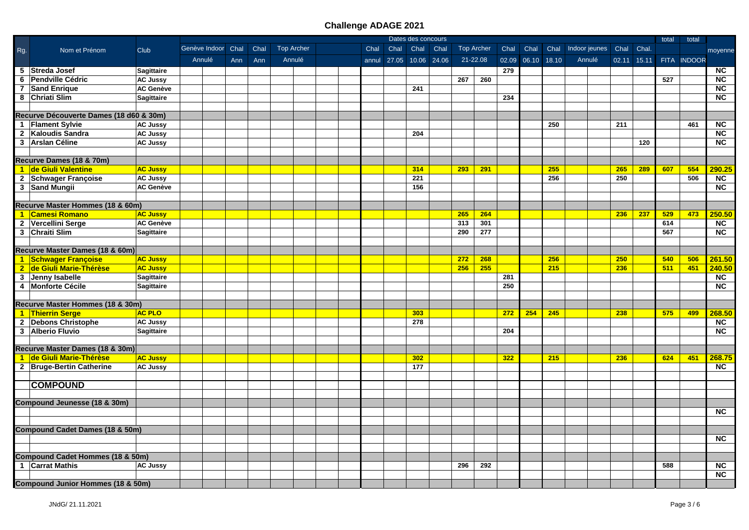|                |                                              |                   |                    |     |      |                   |  |      |                         | Dates des concours |      |     |                   |      |                   |     |                         |     |             | total | total       |                        |
|----------------|----------------------------------------------|-------------------|--------------------|-----|------|-------------------|--|------|-------------------------|--------------------|------|-----|-------------------|------|-------------------|-----|-------------------------|-----|-------------|-------|-------------|------------------------|
| Rg.            | Nom et Prénom                                | Club              | Genève Indoor Chal |     | Chal | <b>Top Archer</b> |  | Chal | Chal                    | Chal               | Chal |     | <b>Top Archer</b> | Chal | Chal              |     | Chal Indoor jeunes Chal |     | Chal.       |       |             | moyenne                |
|                |                                              |                   | Annulé             | Ann | Ann  | Annulé            |  |      | annul 27.05 10.06 24.06 |                    |      |     | 21-22.08          |      | 02.09 06.10 18.10 |     | Annulé                  |     | 02.11 15.11 |       | FITA INDOOR |                        |
|                | 5 Streda Josef                               | Sagittaire        |                    |     |      |                   |  |      |                         |                    |      |     |                   | 279  |                   |     |                         |     |             |       |             | <b>NC</b>              |
|                | 6 Pendville Cédric                           | <b>AC Jussy</b>   |                    |     |      |                   |  |      |                         |                    |      | 267 | 260               |      |                   |     |                         |     |             | 527   |             | $\overline{NC}$        |
| $\overline{7}$ | <b>Sand Enrique</b>                          | <b>AC Genève</b>  |                    |     |      |                   |  |      |                         | 241                |      |     |                   |      |                   |     |                         |     |             |       |             | $\overline{NC}$        |
|                | 8 Chriati Slim                               | <b>Sagittaire</b> |                    |     |      |                   |  |      |                         |                    |      |     |                   | 234  |                   |     |                         |     |             |       |             | NC                     |
|                |                                              |                   |                    |     |      |                   |  |      |                         |                    |      |     |                   |      |                   |     |                         |     |             |       |             |                        |
|                | Recurve Découverte Dames (18 d60 & 30m)      |                   |                    |     |      |                   |  |      |                         |                    |      |     |                   |      |                   |     |                         |     |             |       |             |                        |
|                | 1 Flament Sylvie                             | <b>AC Jussy</b>   |                    |     |      |                   |  |      |                         |                    |      |     |                   |      |                   | 250 |                         | 211 |             |       | 461         | <b>NC</b>              |
|                | 2 Kaloudis Sandra                            | <b>AC Jussy</b>   |                    |     |      |                   |  |      |                         | 204                |      |     |                   |      |                   |     |                         |     |             |       |             | <b>NC</b>              |
|                | 3 Arslan Céline                              | <b>AC Jussy</b>   |                    |     |      |                   |  |      |                         |                    |      |     |                   |      |                   |     |                         |     | 120         |       |             | $\overline{\text{NC}}$ |
|                |                                              |                   |                    |     |      |                   |  |      |                         |                    |      |     |                   |      |                   |     |                         |     |             |       |             |                        |
|                | Recurve Dames (18 & 70m)                     |                   |                    |     |      |                   |  |      |                         |                    |      |     |                   |      |                   |     |                         |     |             |       |             |                        |
|                | 1 de Giuli Valentine                         | <b>AC Jussy</b>   |                    |     |      |                   |  |      |                         | 314                |      | 293 | 291               |      |                   | 255 |                         | 265 | 289         | 607   | 554         | 290.25                 |
|                | 2 Schwager Françoise                         | <b>AC Jussy</b>   |                    |     |      |                   |  |      |                         | 221                |      |     |                   |      |                   | 256 |                         | 250 |             |       | 506         | $\overline{NC}$        |
|                | 3 Sand Mungii                                | <b>AC Genève</b>  |                    |     |      |                   |  |      |                         | 156                |      |     |                   |      |                   |     |                         |     |             |       |             | <b>NC</b>              |
|                |                                              |                   |                    |     |      |                   |  |      |                         |                    |      |     |                   |      |                   |     |                         |     |             |       |             |                        |
|                | Recurve Master Hommes (18 & 60m)             |                   |                    |     |      |                   |  |      |                         |                    |      |     |                   |      |                   |     |                         |     |             |       |             |                        |
|                | 1 Camesi Romano                              | <b>AC Jussy</b>   |                    |     |      |                   |  |      |                         |                    |      | 265 | 264               |      |                   |     |                         | 236 | 237         | 529   | 473         | 250.50                 |
|                | 2 Vercellini Serge                           | <b>AC Genève</b>  |                    |     |      |                   |  |      |                         |                    |      | 313 | 301               |      |                   |     |                         |     |             | 614   |             | NC                     |
|                | 3 Chraiti Slim                               | <b>Sagittaire</b> |                    |     |      |                   |  |      |                         |                    |      | 290 | 277               |      |                   |     |                         |     |             | 567   |             | $\overline{\text{NC}}$ |
|                |                                              |                   |                    |     |      |                   |  |      |                         |                    |      |     |                   |      |                   |     |                         |     |             |       |             |                        |
|                | Recurve Master Dames (18 & 60m)              |                   |                    |     |      |                   |  |      |                         |                    |      |     |                   |      |                   |     |                         |     |             |       |             |                        |
|                | 1 Schwager Françoise                         | <b>AC Jussy</b>   |                    |     |      |                   |  |      |                         |                    |      | 272 | 268               |      |                   | 256 |                         | 250 |             | 540   | 506         | 261.50                 |
|                | 2 de Giuli Marie-Thérèse                     | <b>AC Jussy</b>   |                    |     |      |                   |  |      |                         |                    |      | 256 | 255               |      |                   | 215 |                         | 236 |             | 511   | 451         | 240.50                 |
|                | 3 Jenny Isabelle                             | <b>Sagittaire</b> |                    |     |      |                   |  |      |                         |                    |      |     |                   | 281  |                   |     |                         |     |             |       |             | $\overline{NC}$        |
|                | 4 Monforte Cécile                            | Sagittaire        |                    |     |      |                   |  |      |                         |                    |      |     |                   | 250  |                   |     |                         |     |             |       |             | <b>NC</b>              |
|                |                                              |                   |                    |     |      |                   |  |      |                         |                    |      |     |                   |      |                   |     |                         |     |             |       |             |                        |
|                | Recurve Master Hommes (18 & 30m)             |                   |                    |     |      |                   |  |      |                         |                    |      |     |                   |      |                   |     |                         |     |             |       |             |                        |
|                | 1 Thierrin Serge                             | <b>AC PLO</b>     |                    |     |      |                   |  |      |                         | 303                |      |     |                   | 272  | 254               | 245 |                         | 238 |             | 575   | 499         | 268.50                 |
|                | 2 Debons Christophe                          | <b>AC Jussy</b>   |                    |     |      |                   |  |      |                         | 278                |      |     |                   |      |                   |     |                         |     |             |       |             | NC                     |
|                | 3 Alberio Fluvio                             | Sagittaire        |                    |     |      |                   |  |      |                         |                    |      |     |                   | 204  |                   |     |                         |     |             |       |             | NC                     |
|                |                                              |                   |                    |     |      |                   |  |      |                         |                    |      |     |                   |      |                   |     |                         |     |             |       |             |                        |
|                | Recurve Master Dames (18 & 30m)              |                   |                    |     |      |                   |  |      |                         |                    |      |     |                   |      |                   |     |                         |     |             |       |             |                        |
|                | 1 de Giuli Marie-Thérèse                     | <b>AC Jussy</b>   |                    |     |      |                   |  |      |                         | 302                |      |     |                   | 322  |                   | 215 |                         | 236 |             | 624   | 451         | 268.75                 |
|                | 2 Bruge-Bertin Catherine                     | <b>AC Jussy</b>   |                    |     |      |                   |  |      |                         | 177                |      |     |                   |      |                   |     |                         |     |             |       |             | NC.                    |
|                |                                              |                   |                    |     |      |                   |  |      |                         |                    |      |     |                   |      |                   |     |                         |     |             |       |             |                        |
|                | <b>COMPOUND</b>                              |                   |                    |     |      |                   |  |      |                         |                    |      |     |                   |      |                   |     |                         |     |             |       |             |                        |
|                |                                              |                   |                    |     |      |                   |  |      |                         |                    |      |     |                   |      |                   |     |                         |     |             |       |             |                        |
|                | Compound Jeunesse (18 & 30m)                 |                   |                    |     |      |                   |  |      |                         |                    |      |     |                   |      |                   |     |                         |     |             |       |             |                        |
|                |                                              |                   |                    |     |      |                   |  |      |                         |                    |      |     |                   |      |                   |     |                         |     |             |       |             | <b>NC</b>              |
|                |                                              |                   |                    |     |      |                   |  |      |                         |                    |      |     |                   |      |                   |     |                         |     |             |       |             |                        |
|                | Compound Cadet Dames (18 & 50m)              |                   |                    |     |      |                   |  |      |                         |                    |      |     |                   |      |                   |     |                         |     |             |       |             |                        |
|                |                                              |                   |                    |     |      |                   |  |      |                         |                    |      |     |                   |      |                   |     |                         |     |             |       |             | <b>NC</b>              |
|                |                                              |                   |                    |     |      |                   |  |      |                         |                    |      |     |                   |      |                   |     |                         |     |             |       |             |                        |
|                | <b>Compound Cadet Hommes (18 &amp; 50m)</b>  |                   |                    |     |      |                   |  |      |                         |                    |      |     |                   |      |                   |     |                         |     |             |       |             |                        |
|                | 1 Carrat Mathis                              | <b>AC Jussy</b>   |                    |     |      |                   |  |      |                         |                    |      | 296 | 292               |      |                   |     |                         |     |             | 588   |             | <b>NC</b>              |
|                |                                              |                   |                    |     |      |                   |  |      |                         |                    |      |     |                   |      |                   |     |                         |     |             |       |             | <b>NC</b>              |
|                | <b>Compound Junior Hommes (18 &amp; 50m)</b> |                   |                    |     |      |                   |  |      |                         |                    |      |     |                   |      |                   |     |                         |     |             |       |             |                        |
|                |                                              |                   |                    |     |      |                   |  |      |                         |                    |      |     |                   |      |                   |     |                         |     |             |       |             |                        |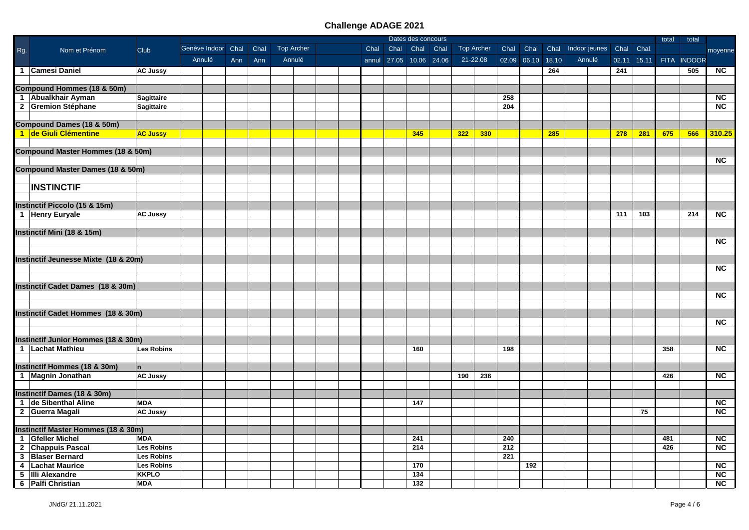|     |                                                |                   |                    |     |      |                   |  |      |                         | Dates des concours |     |                   |      |                   |     |                         |       |       | total | total       |                        |
|-----|------------------------------------------------|-------------------|--------------------|-----|------|-------------------|--|------|-------------------------|--------------------|-----|-------------------|------|-------------------|-----|-------------------------|-------|-------|-------|-------------|------------------------|
| Rg. | Nom et Prénom                                  | <b>Club</b>       | Genève Indoor Chal |     | Chal | <b>Top Archer</b> |  | Chal | Chal                    | Chal Chal          |     | <b>Top Archer</b> | Chal | Chal              |     | Chal Indoor jeunes Chal |       | Chal. |       |             | moyenne                |
|     |                                                |                   | Annulé             | Ann | Ann  | Annulé            |  |      | annul 27.05 10.06 24.06 |                    |     | 21-22.08          |      | 02.09 06.10 18.10 |     | Annulé                  | 02.11 | 15.11 |       | FITA INDOOR |                        |
|     | 1 Camesi Daniel                                | <b>AC Jussy</b>   |                    |     |      |                   |  |      |                         |                    |     |                   |      |                   | 264 |                         | 241   |       |       | 505         | <b>NC</b>              |
|     |                                                |                   |                    |     |      |                   |  |      |                         |                    |     |                   |      |                   |     |                         |       |       |       |             |                        |
|     | Compound Hommes (18 & 50m)                     |                   |                    |     |      |                   |  |      |                         |                    |     |                   |      |                   |     |                         |       |       |       |             |                        |
|     | 1 Abualkhair Ayman                             | Sagittaire        |                    |     |      |                   |  |      |                         |                    |     |                   | 258  |                   |     |                         |       |       |       |             | <b>NC</b>              |
|     | 2 Gremion Stéphane                             | <b>Sagittaire</b> |                    |     |      |                   |  |      |                         |                    |     |                   | 204  |                   |     |                         |       |       |       |             | $\overline{\text{NC}}$ |
|     |                                                |                   |                    |     |      |                   |  |      |                         |                    |     |                   |      |                   |     |                         |       |       |       |             |                        |
|     | <b>Compound Dames (18 &amp; 50m)</b>           |                   |                    |     |      |                   |  |      |                         |                    |     |                   |      |                   |     |                         |       |       |       |             |                        |
|     | 1 de Giuli Clémentine                          | <b>AC Jussy</b>   |                    |     |      |                   |  |      |                         | 345                | 322 | 330               |      |                   | 285 |                         | 278   | 281   | 675   | 566         | 310.25                 |
|     |                                                |                   |                    |     |      |                   |  |      |                         |                    |     |                   |      |                   |     |                         |       |       |       |             |                        |
|     | <b>Compound Master Hommes (18 &amp; 50m)</b>   |                   |                    |     |      |                   |  |      |                         |                    |     |                   |      |                   |     |                         |       |       |       |             |                        |
|     |                                                |                   |                    |     |      |                   |  |      |                         |                    |     |                   |      |                   |     |                         |       |       |       |             | <b>NC</b>              |
|     | <b>Compound Master Dames (18 &amp; 50m)</b>    |                   |                    |     |      |                   |  |      |                         |                    |     |                   |      |                   |     |                         |       |       |       |             |                        |
|     |                                                |                   |                    |     |      |                   |  |      |                         |                    |     |                   |      |                   |     |                         |       |       |       |             |                        |
|     | <b>INSTINCTIF</b>                              |                   |                    |     |      |                   |  |      |                         |                    |     |                   |      |                   |     |                         |       |       |       |             |                        |
|     |                                                |                   |                    |     |      |                   |  |      |                         |                    |     |                   |      |                   |     |                         |       |       |       |             |                        |
|     | <b>Instinctif Piccolo (15 &amp; 15m)</b>       |                   |                    |     |      |                   |  |      |                         |                    |     |                   |      |                   |     |                         |       |       |       |             |                        |
|     | 1 Henry Euryale                                | <b>AC Jussy</b>   |                    |     |      |                   |  |      |                         |                    |     |                   |      |                   |     |                         | 111   | 103   |       | 214         | $\overline{NC}$        |
|     |                                                |                   |                    |     |      |                   |  |      |                         |                    |     |                   |      |                   |     |                         |       |       |       |             |                        |
|     | Instinctif Mini (18 & 15m)                     |                   |                    |     |      |                   |  |      |                         |                    |     |                   |      |                   |     |                         |       |       |       |             |                        |
|     |                                                |                   |                    |     |      |                   |  |      |                         |                    |     |                   |      |                   |     |                         |       |       |       |             | <b>NC</b>              |
|     |                                                |                   |                    |     |      |                   |  |      |                         |                    |     |                   |      |                   |     |                         |       |       |       |             |                        |
|     | Instinctif Jeunesse Mixte (18 & 20m)           |                   |                    |     |      |                   |  |      |                         |                    |     |                   |      |                   |     |                         |       |       |       |             |                        |
|     |                                                |                   |                    |     |      |                   |  |      |                         |                    |     |                   |      |                   |     |                         |       |       |       |             | $\overline{NC}$        |
|     |                                                |                   |                    |     |      |                   |  |      |                         |                    |     |                   |      |                   |     |                         |       |       |       |             |                        |
|     | <b>Instinctif Cadet Dames (18 &amp; 30m)</b>   |                   |                    |     |      |                   |  |      |                         |                    |     |                   |      |                   |     |                         |       |       |       |             |                        |
|     |                                                |                   |                    |     |      |                   |  |      |                         |                    |     |                   |      |                   |     |                         |       |       |       |             | NC                     |
|     |                                                |                   |                    |     |      |                   |  |      |                         |                    |     |                   |      |                   |     |                         |       |       |       |             |                        |
|     | Instinctif Cadet Hommes (18 & 30m)             |                   |                    |     |      |                   |  |      |                         |                    |     |                   |      |                   |     |                         |       |       |       |             |                        |
|     |                                                |                   |                    |     |      |                   |  |      |                         |                    |     |                   |      |                   |     |                         |       |       |       |             | <b>NC</b>              |
|     |                                                |                   |                    |     |      |                   |  |      |                         |                    |     |                   |      |                   |     |                         |       |       |       |             |                        |
|     | Instinctif Junior Hommes (18 & 30m)            |                   |                    |     |      |                   |  |      |                         |                    |     |                   |      |                   |     |                         |       |       |       |             |                        |
|     | 1 Lachat Mathieu                               | Les Robins        |                    |     |      |                   |  |      |                         | 160                |     |                   | 198  |                   |     |                         |       |       | 358   |             | <b>NC</b>              |
|     |                                                |                   |                    |     |      |                   |  |      |                         |                    |     |                   |      |                   |     |                         |       |       |       |             |                        |
|     | Instinctif Hommes (18 & 30m)                   | $\mathbf n$       |                    |     |      |                   |  |      |                         |                    |     |                   |      |                   |     |                         |       |       |       |             |                        |
|     | 1 Magnin Jonathan                              | <b>AC Jussy</b>   |                    |     |      |                   |  |      |                         |                    | 190 | 236               |      |                   |     |                         |       |       | 426   |             | <b>NC</b>              |
|     |                                                |                   |                    |     |      |                   |  |      |                         |                    |     |                   |      |                   |     |                         |       |       |       |             |                        |
|     | Instinctif Dames (18 & 30m)                    |                   |                    |     |      |                   |  |      |                         |                    |     |                   |      |                   |     |                         |       |       |       |             |                        |
|     | 1 de Sibenthal Aline                           | <b>MDA</b>        |                    |     |      |                   |  |      |                         | 147                |     |                   |      |                   |     |                         |       |       |       |             | $\overline{\text{NC}}$ |
|     | 2 Guerra Magali                                | <b>AC Jussy</b>   |                    |     |      |                   |  |      |                         |                    |     |                   |      |                   |     |                         |       | 75    |       |             | $\overline{\text{NC}}$ |
|     |                                                |                   |                    |     |      |                   |  |      |                         |                    |     |                   |      |                   |     |                         |       |       |       |             |                        |
|     | <b>Instinctif Master Hommes (18 &amp; 30m)</b> |                   |                    |     |      |                   |  |      |                         |                    |     |                   |      |                   |     |                         |       |       |       |             |                        |
|     | 1 Gfeller Michel                               | <b>MDA</b>        |                    |     |      |                   |  |      |                         | 241                |     |                   | 240  |                   |     |                         |       |       | 481   |             | NC                     |
|     | 2 Chappuis Pascal                              | <b>Les Robins</b> |                    |     |      |                   |  |      |                         | 214                |     |                   | 212  |                   |     |                         |       |       | 426   |             | $\overline{NC}$        |
|     | 3 Blaser Bernard                               | <b>Les Robins</b> |                    |     |      |                   |  |      |                         |                    |     |                   | 221  |                   |     |                         |       |       |       |             |                        |
|     | 4   Lachat Maurice                             | <b>Les Robins</b> |                    |     |      |                   |  |      |                         | 170                |     |                   |      | 192               |     |                         |       |       |       |             | <b>NC</b>              |
|     | 5 IIIi Alexandre                               | <b>KKPLO</b>      |                    |     |      |                   |  |      |                         | 134                |     |                   |      |                   |     |                         |       |       |       |             | $\overline{\text{NC}}$ |
|     | 6   Palfi Christian                            | <b>MDA</b>        |                    |     |      |                   |  |      |                         | 132                |     |                   |      |                   |     |                         |       |       |       |             | NC                     |
|     |                                                |                   |                    |     |      |                   |  |      |                         |                    |     |                   |      |                   |     |                         |       |       |       |             |                        |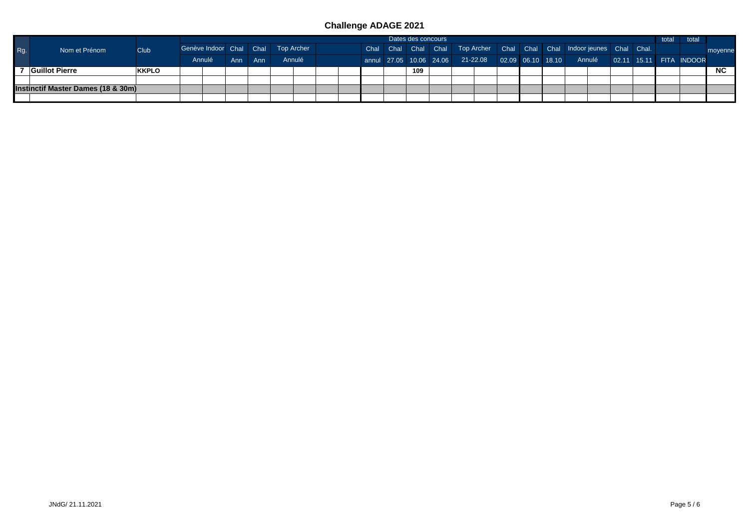|     |                                    |              |                                    |  | Dates des concours |        |  |  |  |  |  |     |  |                                                                        | total | total |  |  |  |                                                                                   |         |
|-----|------------------------------------|--------------|------------------------------------|--|--------------------|--------|--|--|--|--|--|-----|--|------------------------------------------------------------------------|-------|-------|--|--|--|-----------------------------------------------------------------------------------|---------|
| Rg. | Nom et Prénom                      | Club         | Genève Indoor Chal Chal Top Archer |  |                    |        |  |  |  |  |  |     |  | Chal Chal Chal Chal Top Archer Chal Chal Chal Indoor jeunes Chal Chal. |       |       |  |  |  |                                                                                   | movenne |
|     |                                    |              | Annulé<br>Ann Ann                  |  |                    | Annulé |  |  |  |  |  |     |  |                                                                        |       |       |  |  |  | annul 27.05 10.06 24.06 21-22.08 02.09 06.10 18.10 Annulé 02.11 15.11 FITA INDOOR |         |
|     | Guillot Pierre                     | <b>KKPLO</b> |                                    |  |                    |        |  |  |  |  |  | 109 |  |                                                                        |       |       |  |  |  |                                                                                   | NC .    |
|     |                                    |              |                                    |  |                    |        |  |  |  |  |  |     |  |                                                                        |       |       |  |  |  |                                                                                   |         |
|     | Instinctif Master Dames (18 & 30m) |              |                                    |  |                    |        |  |  |  |  |  |     |  |                                                                        |       |       |  |  |  |                                                                                   |         |
|     |                                    |              |                                    |  |                    |        |  |  |  |  |  |     |  |                                                                        |       |       |  |  |  |                                                                                   |         |